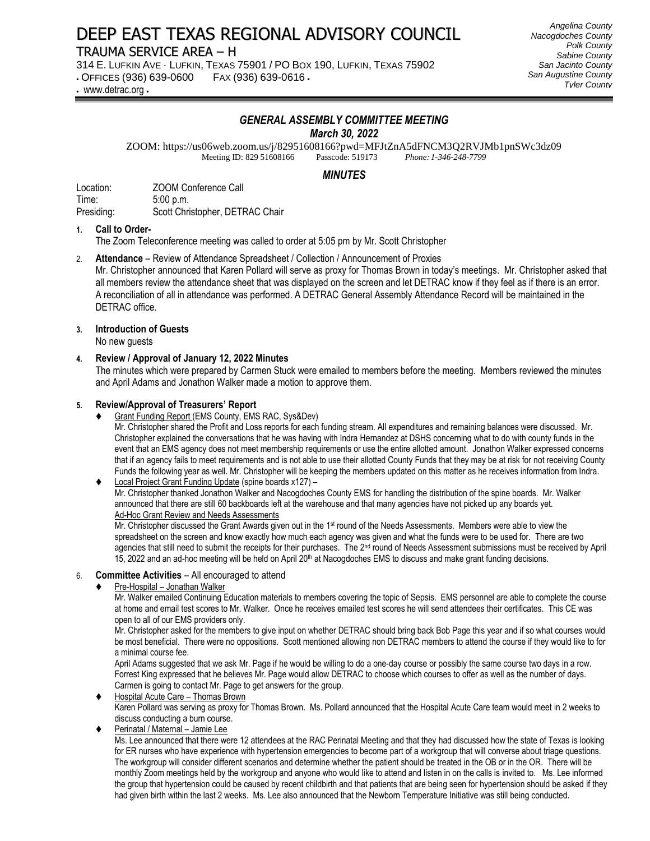# DEEP EAST TEXAS REGIONAL ADVISORY COUNCIL

# TRAUMA SERVICE AREA – H

314 E. LUFKIN AVE · LUFKIN, TEXAS 75901 / PO BOX 190, LUFKIN, TEXAS 75902

• OFFICES (936) 639-0600 FAX (936) 639-0616 •

• www.detrac.org •

#### *Angelina County Nacogdoches County Polk County Sabine County San Jacinto County San Augustine County Tyler County*

# *GENERAL ASSEMBLY COMMITTEE MEETING*

*March 30, 2022*

ZOOM: https://us06web.zoom.us/j/82951608166?pwd=MFJtZnA5dFNCM3Q2RVJMb1pnSWc3dz09<br>Meeting ID: 829 51608166 Passcode: 519173 *Phone: 1-346-248-7799* Meeting ID: 829 51608166

## *MINUTES*

Location: ZOOM Conference Call Time: 5:00 p.m. Presiding: Scott Christopher, DETRAC Chair

#### **1. Call to Order-**

The Zoom Teleconference meeting was called to order at 5:05 pm by Mr. Scott Christopher

#### 2. **Attendance** – Review of Attendance Spreadsheet / Collection / Announcement of Proxies

Mr. Christopher announced that Karen Pollard will serve as proxy for Thomas Brown in today's meetings. Mr. Christopher asked that all members review the attendance sheet that was displayed on the screen and let DETRAC know if they feel as if there is an error. A reconciliation of all in attendance was performed. A DETRAC General Assembly Attendance Record will be maintained in the DETRAC office.

#### **3. Introduction of Guests**

No new guests

#### **4. Review / Approval of January 12, 2022 Minutes**

The minutes which were prepared by Carmen Stuck were emailed to members before the meeting. Members reviewed the minutes and April Adams and Jonathon Walker made a motion to approve them.

#### **5. Review/Approval of Treasurers' Report**

⧫ Grant Funding Report (EMS County, EMS RAC, Sys&Dev)

Mr. Christopher shared the Profit and Loss reports for each funding stream. All expenditures and remaining balances were discussed. Mr. Christopher explained the conversations that he was having with Indra Hernandez at DSHS concerning what to do with county funds in the event that an EMS agency does not meet membership requirements or use the entire allotted amount. Jonathon Walker expressed concerns that if an agency fails to meet requirements and is not able to use their allotted County Funds that they may be at risk for not receiving County Funds the following year as well. Mr. Christopher will be keeping the members updated on this matter as he receives information from Indra.

#### Local Project Grant Funding Update (spine boards x127) –

Mr. Christopher thanked Jonathon Walker and Nacogdoches County EMS for handling the distribution of the spine boards. Mr. Walker announced that there are still 60 backboards left at the warehouse and that many agencies have not picked up any boards yet. Ad-Hoc Grant Review and Needs Assessments

Mr. Christopher discussed the Grant Awards given out in the 1<sup>st</sup> round of the Needs Assessments. Members were able to view the spreadsheet on the screen and know exactly how much each agency was given and what the funds were to be used for. There are two agencies that still need to submit the receipts for their purchases. The 2<sup>nd</sup> round of Needs Assessment submissions must be received by April 15, 2022 and an ad-hoc meeting will be held on April  $20<sup>th</sup>$  at Nacogdoches EMS to discuss and make grant funding decisions.

### 6. **Committee Activities** – All encouraged to attend

#### ⧫ Pre-Hospital – Jonathan Walker

Mr. Walker emailed Continuing Education materials to members covering the topic of Sepsis. EMS personnel are able to complete the course at home and email test scores to Mr. Walker. Once he receives emailed test scores he will send attendees their certificates. This CE was open to all of our EMS providers only.

Mr. Christopher asked for the members to give input on whether DETRAC should bring back Bob Page this year and if so what courses would be most beneficial. There were no oppositions. Scott mentioned allowing non DETRAC members to attend the course if they would like to for a minimal course fee.

April Adams suggested that we ask Mr. Page if he would be willing to do a one-day course or possibly the same course two days in a row. Forrest King expressed that he believes Mr. Page would allow DETRAC to choose which courses to offer as well as the number of days. Carmen is going to contact Mr. Page to get answers for the group.

Hospital Acute Care - Thomas Brown Karen Pollard was serving as proxy for Thomas Brown. Ms. Pollard announced that the Hospital Acute Care team would meet in 2 weeks to discuss conducting a burn course.

Perinatal / Maternal – Jamie Lee

Ms. Lee announced that there were 12 attendees at the RAC Perinatal Meeting and that they had discussed how the state of Texas is looking for ER nurses who have experience with hypertension emergencies to become part of a workgroup that will converse about triage questions. The workgroup will consider different scenarios and determine whether the patient should be treated in the OB or in the OR. There will be monthly Zoom meetings held by the workgroup and anyone who would like to attend and listen in on the calls is invited to. Ms. Lee informed the group that hypertension could be caused by recent childbirth and that patients that are being seen for hypertension should be asked if they had given birth within the last 2 weeks. Ms. Lee also announced that the Newborn Temperature Initiative was still being conducted.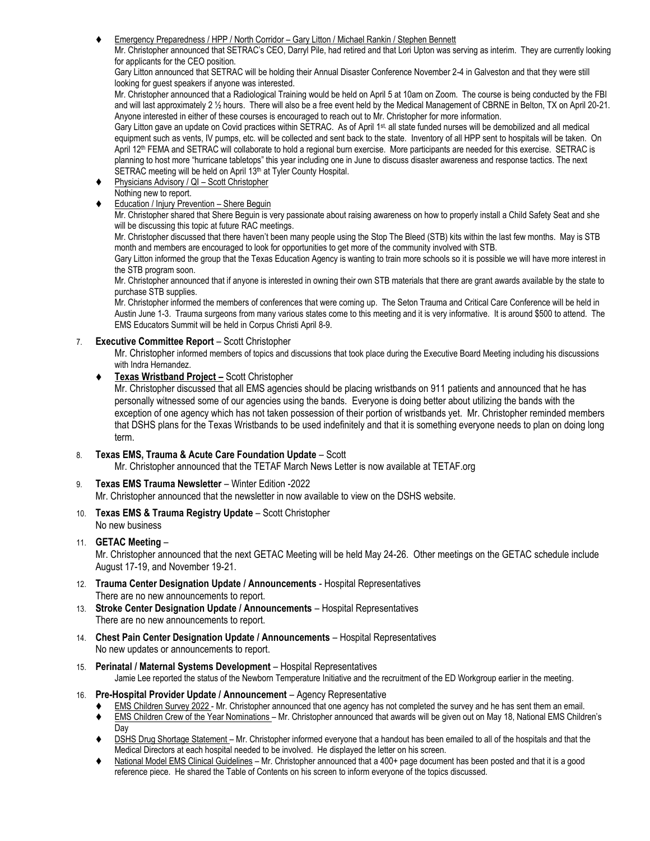⧫ Emergency Preparedness / HPP / North Corridor – Gary Litton / Michael Rankin / Stephen Bennett

Mr. Christopher announced that SETRAC's CEO, Darryl Pile, had retired and that Lori Upton was serving as interim. They are currently looking for applicants for the CEO position.

Gary Litton announced that SETRAC will be holding their Annual Disaster Conference November 2-4 in Galveston and that they were still looking for guest speakers if anyone was interested.

Mr. Christopher announced that a Radiological Training would be held on April 5 at 10am on Zoom. The course is being conducted by the FBI and will last approximately 2 ½ hours. There will also be a free event held by the Medical Management of CBRNE in Belton, TX on April 20-21. Anyone interested in either of these courses is encouraged to reach out to Mr. Christopher for more information.

Gary Litton gave an update on Covid practices within SETRAC. As of April 1<sup>st,</sup> all state funded nurses will be demobilized and all medical equipment such as vents, IV pumps, etc. will be collected and sent back to the state. Inventory of all HPP sent to hospitals will be taken. On April 12<sup>th</sup> FEMA and SETRAC will collaborate to hold a regional burn exercise. More participants are needed for this exercise. SETRAC is planning to host more "hurricane tabletops" this year including one in June to discuss disaster awareness and response tactics. The next SETRAC meeting will be held on April 13<sup>th</sup> at Tyler County Hospital.

- Physicians Advisory / QI Scott Christopher
- Nothing new to report.
- **Education / Injury Prevention Shere Beguin**

Mr. Christopher shared that Shere Beguin is very passionate about raising awareness on how to properly install a Child Safety Seat and she will be discussing this topic at future RAC meetings.

Mr. Christopher discussed that there haven't been many people using the Stop The Bleed (STB) kits within the last few months. May is STB month and members are encouraged to look for opportunities to get more of the community involved with STB.

Gary Litton informed the group that the Texas Education Agency is wanting to train more schools so it is possible we will have more interest in the STB program soon.

Mr. Christopher announced that if anyone is interested in owning their own STB materials that there are grant awards available by the state to purchase STB supplies.

Mr. Christopher informed the members of conferences that were coming up. The Seton Trauma and Critical Care Conference will be held in Austin June 1-3. Trauma surgeons from many various states come to this meeting and it is very informative. It is around \$500 to attend. The EMS Educators Summit will be held in Corpus Christi April 8-9.

7. **Executive Committee Report** – Scott Christopher

Mr. Christopher informed members of topics and discussions that took place during the Executive Board Meeting including his discussions with Indra Hernandez.

⧫ **Texas Wristband Project –** Scott Christopher

Mr. Christopher discussed that all EMS agencies should be placing wristbands on 911 patients and announced that he has personally witnessed some of our agencies using the bands. Everyone is doing better about utilizing the bands with the exception of one agency which has not taken possession of their portion of wristbands yet. Mr. Christopher reminded members that DSHS plans for the Texas Wristbands to be used indefinitely and that it is something everyone needs to plan on doing long term.

8. **Texas EMS, Trauma & Acute Care Foundation Update** – Scott

Mr. Christopher announced that the TETAF March News Letter is now available at TETAF.org

9. **Texas EMS Trauma Newsletter** – Winter Edition -2022

Mr. Christopher announced that the newsletter in now available to view on the DSHS website.

10. **Texas EMS & Trauma Registry Update** – Scott Christopher No new business

### 11. **GETAC Meeting** –

Mr. Christopher announced that the next GETAC Meeting will be held May 24-26. Other meetings on the GETAC schedule include August 17-19, and November 19-21.

- 12. **Trauma Center Designation Update / Announcements** Hospital Representatives There are no new announcements to report.
- 13. **Stroke Center Designation Update / Announcements** Hospital Representatives There are no new announcements to report.
- 14. **Chest Pain Center Designation Update / Announcements** Hospital Representatives No new updates or announcements to report.
- 15. **Perinatal / Maternal Systems Development** Hospital Representatives Jamie Lee reported the status of the Newborn Temperature Initiative and the recruitment of the ED Workgroup earlier in the meeting.

#### 16. **Pre-Hospital Provider Update / Announcement** – Agency Representative

- ⧫ EMS Children Survey 2022 Mr. Christopher announced that one agency has not completed the survey and he has sent them an email.
- ⧫ EMS Children Crew of the Year Nominations Mr. Christopher announced that awards will be given out on May 18, National EMS Children's Day
- ♦ DSHS Drug Shortage Statement Mr. Christopher informed everyone that a handout has been emailed to all of the hospitals and that the Medical Directors at each hospital needed to be involved. He displayed the letter on his screen.
- National Model EMS Clinical Guidelines Mr. Christopher announced that a 400+ page document has been posted and that it is a good reference piece. He shared the Table of Contents on his screen to inform everyone of the topics discussed.